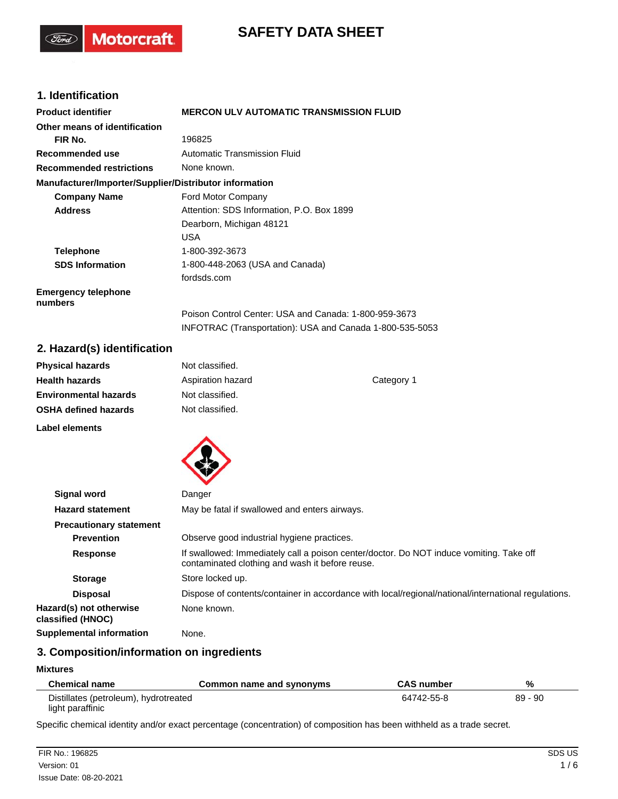# **SAFETY DATA SHEET**

# **1. Identification**

(Ford)

**Motorcraft** 

| <b>Product identifier</b>                              | <b>MERCON ULV AUTOMATIC TRANSMISSION FLUID</b>           |  |
|--------------------------------------------------------|----------------------------------------------------------|--|
| Other means of identification                          |                                                          |  |
| FIR No.                                                | 196825                                                   |  |
| Recommended use                                        | Automatic Transmission Fluid                             |  |
| <b>Recommended restrictions</b>                        | None known.                                              |  |
| Manufacturer/Importer/Supplier/Distributor information |                                                          |  |
| <b>Company Name</b>                                    | Ford Motor Company                                       |  |
| <b>Address</b>                                         | Attention: SDS Information, P.O. Box 1899                |  |
|                                                        | Dearborn, Michigan 48121                                 |  |
|                                                        | USA                                                      |  |
| <b>Telephone</b>                                       | 1-800-392-3673                                           |  |
| <b>SDS Information</b>                                 | 1-800-448-2063 (USA and Canada)                          |  |
|                                                        | fordsds.com                                              |  |
| <b>Emergency telephone</b><br>numbers                  |                                                          |  |
|                                                        | Poison Control Center: USA and Canada: 1-800-959-3673    |  |
|                                                        | INFOTRAC (Transportation): USA and Canada 1-800-535-5053 |  |

# **2. Hazard(s) identification**

| <b>Physical hazards</b>      | Not classified.   |            |
|------------------------------|-------------------|------------|
| <b>Health hazards</b>        | Aspiration hazard | Category 1 |
| <b>Environmental hazards</b> | Not classified.   |            |
| <b>OSHA defined hazards</b>  | Not classified.   |            |
| Label elements               |                   |            |



| Signal word                                  | Danger                                                                                                                                     |
|----------------------------------------------|--------------------------------------------------------------------------------------------------------------------------------------------|
| <b>Hazard statement</b>                      | May be fatal if swallowed and enters airways.                                                                                              |
| <b>Precautionary statement</b>               |                                                                                                                                            |
| <b>Prevention</b>                            | Observe good industrial hygiene practices.                                                                                                 |
| <b>Response</b>                              | If swallowed: Immediately call a poison center/doctor. Do NOT induce vomiting. Take off<br>contaminated clothing and wash it before reuse. |
| <b>Storage</b>                               | Store locked up.                                                                                                                           |
| <b>Disposal</b>                              | Dispose of contents/container in accordance with local/regional/national/international regulations.                                        |
| Hazard(s) not otherwise<br>classified (HNOC) | None known.                                                                                                                                |
| <b>Supplemental information</b>              | None.                                                                                                                                      |

# **3. Composition/information on ingredients**

#### **Mixtures**

| <b>Chemical name</b>                  | Common name and synonyms | <b>CAS number</b> | %         |
|---------------------------------------|--------------------------|-------------------|-----------|
| Distillates (petroleum), hydrotreated |                          | 64742-55-8        | $89 - 90$ |
| light paraffinic                      |                          |                   |           |

Specific chemical identity and/or exact percentage (concentration) of composition has been withheld as a trade secret.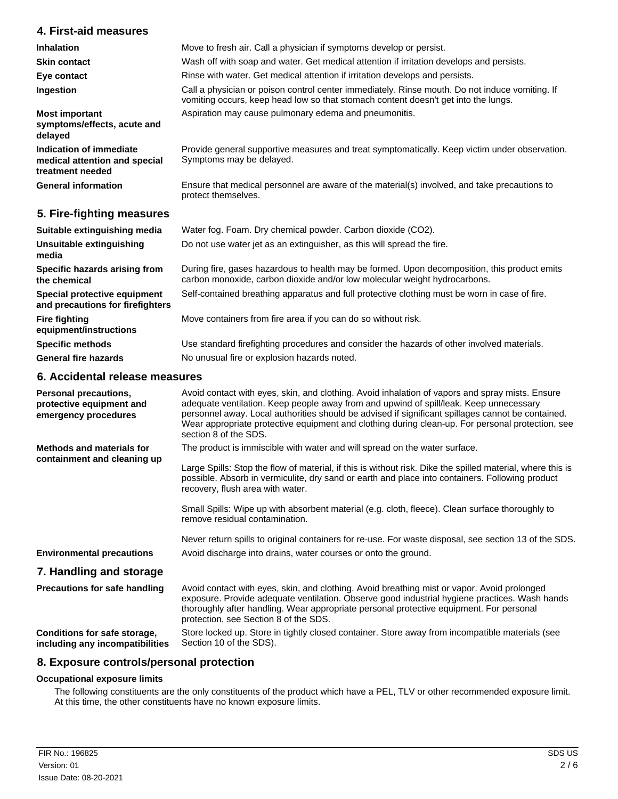### **4. First-aid measures**

| <b>Inhalation</b>                                                            | Move to fresh air. Call a physician if symptoms develop or persist.                                                                                                                  |
|------------------------------------------------------------------------------|--------------------------------------------------------------------------------------------------------------------------------------------------------------------------------------|
| <b>Skin contact</b>                                                          | Wash off with soap and water. Get medical attention if irritation develops and persists.                                                                                             |
| Eye contact                                                                  | Rinse with water. Get medical attention if irritation develops and persists.                                                                                                         |
| Ingestion                                                                    | Call a physician or poison control center immediately. Rinse mouth. Do not induce vomiting. If<br>vomiting occurs, keep head low so that stomach content doesn't get into the lungs. |
| <b>Most important</b><br>symptoms/effects, acute and<br>delayed              | Aspiration may cause pulmonary edema and pneumonitis.                                                                                                                                |
| Indication of immediate<br>medical attention and special<br>treatment needed | Provide general supportive measures and treat symptomatically. Keep victim under observation.<br>Symptoms may be delayed.                                                            |
| <b>General information</b>                                                   | Ensure that medical personnel are aware of the material(s) involved, and take precautions to<br>protect themselves.                                                                  |
| 5. Fire-fighting measures                                                    |                                                                                                                                                                                      |
| Suitable extinguishing media                                                 | Water fog. Foam. Dry chemical powder. Carbon dioxide (CO2).                                                                                                                          |
| Unsuitable extinguishing<br>media                                            | Do not use water jet as an extinguisher, as this will spread the fire.                                                                                                               |

During fire, gases hazardous to health may be formed. Upon decomposition, this product emits carbon monoxide, carbon dioxide and/or low molecular weight hydrocarbons. **Specific hazards arising from**

**Special protective equipment** Self-contained breathing apparatus and full protective clothing must be worn in case of fire. **and precautions for firefighters**

**Fire fighting** Move containers from fire area if you can do so without risk.

**Specific methods** Use standard firefighting procedures and consider the hazards of other involved materials. General fire hazards **No unusual fire or explosion hazards noted.** 

### **6. Accidental release measures**

**the chemical**

**equipment/instructions**

| Personal precautions,<br>protective equipment and<br>emergency procedures | Avoid contact with eyes, skin, and clothing. Avoid inhalation of vapors and spray mists. Ensure<br>adequate ventilation. Keep people away from and upwind of spill/leak. Keep unnecessary<br>personnel away. Local authorities should be advised if significant spillages cannot be contained.<br>Wear appropriate protective equipment and clothing during clean-up. For personal protection, see<br>section 8 of the SDS. |
|---------------------------------------------------------------------------|-----------------------------------------------------------------------------------------------------------------------------------------------------------------------------------------------------------------------------------------------------------------------------------------------------------------------------------------------------------------------------------------------------------------------------|
| Methods and materials for<br>containment and cleaning up                  | The product is immiscible with water and will spread on the water surface.                                                                                                                                                                                                                                                                                                                                                  |
|                                                                           | Large Spills: Stop the flow of material, if this is without risk. Dike the spilled material, where this is<br>possible. Absorb in vermiculite, dry sand or earth and place into containers. Following product<br>recovery, flush area with water.                                                                                                                                                                           |
|                                                                           | Small Spills: Wipe up with absorbent material (e.g. cloth, fleece). Clean surface thoroughly to<br>remove residual contamination.                                                                                                                                                                                                                                                                                           |
|                                                                           | Never return spills to original containers for re-use. For waste disposal, see section 13 of the SDS.                                                                                                                                                                                                                                                                                                                       |
| <b>Environmental precautions</b>                                          | Avoid discharge into drains, water courses or onto the ground.                                                                                                                                                                                                                                                                                                                                                              |
| 7. Handling and storage                                                   |                                                                                                                                                                                                                                                                                                                                                                                                                             |
| <b>Precautions for safe handling</b>                                      | Avoid contact with eyes, skin, and clothing. Avoid breathing mist or vapor. Avoid prolonged<br>exposure. Provide adequate ventilation. Observe good industrial hygiene practices. Wash hands<br>thoroughly after handling. Wear appropriate personal protective equipment. For personal<br>protection, see Section 8 of the SDS.                                                                                            |
| Conditions for safe storage,<br>including any incompatibilities           | Store locked up. Store in tightly closed container. Store away from incompatible materials (see<br>Section 10 of the SDS).                                                                                                                                                                                                                                                                                                  |

## **8. Exposure controls/personal protection**

### **Occupational exposure limits**

The following constituents are the only constituents of the product which have a PEL, TLV or other recommended exposure limit. At this time, the other constituents have no known exposure limits.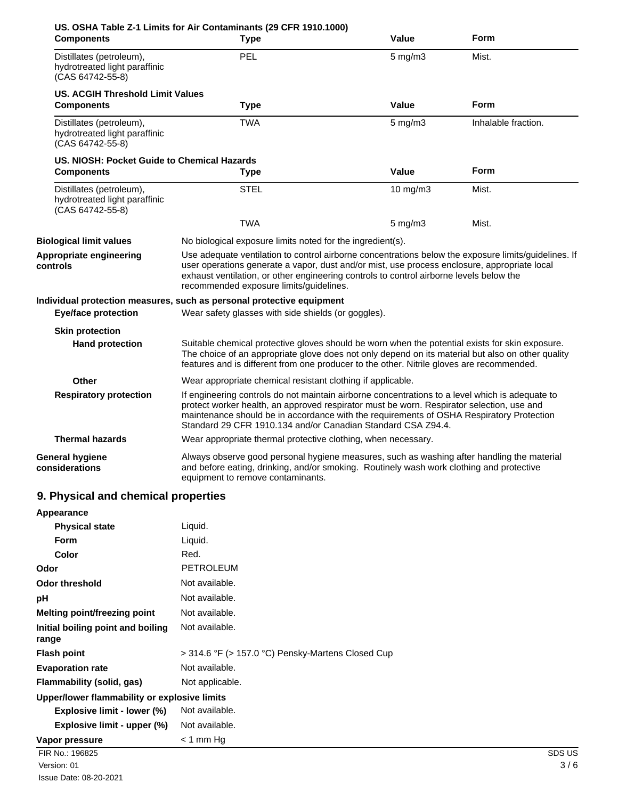| <b>Components</b>                                                             | US. OSHA Table Z-1 Limits for Air Contaminants (29 CFR 1910.1000)<br><b>Type</b>                                                                                                                                                                                                                                                                         | Value              | Form                |
|-------------------------------------------------------------------------------|----------------------------------------------------------------------------------------------------------------------------------------------------------------------------------------------------------------------------------------------------------------------------------------------------------------------------------------------------------|--------------------|---------------------|
| Distillates (petroleum),<br>hydrotreated light paraffinic<br>(CAS 64742-55-8) | PEL                                                                                                                                                                                                                                                                                                                                                      | $5 \text{ mg/m}$ 3 | Mist.               |
| <b>US. ACGIH Threshold Limit Values</b><br><b>Components</b>                  | <b>Type</b>                                                                                                                                                                                                                                                                                                                                              | Value              | Form                |
| Distillates (petroleum),<br>hydrotreated light paraffinic<br>(CAS 64742-55-8) | TWA                                                                                                                                                                                                                                                                                                                                                      | $5 \text{ mg/m}$   | Inhalable fraction. |
| US. NIOSH: Pocket Guide to Chemical Hazards                                   |                                                                                                                                                                                                                                                                                                                                                          |                    |                     |
| <b>Components</b>                                                             | <b>Type</b>                                                                                                                                                                                                                                                                                                                                              | Value              | Form                |
| Distillates (petroleum),<br>hydrotreated light paraffinic<br>(CAS 64742-55-8) | STEL                                                                                                                                                                                                                                                                                                                                                     | 10 mg/m3           | Mist.               |
|                                                                               | <b>TWA</b>                                                                                                                                                                                                                                                                                                                                               | $5 \text{ mg/m}$   | Mist.               |
| <b>Biological limit values</b>                                                | No biological exposure limits noted for the ingredient(s).                                                                                                                                                                                                                                                                                               |                    |                     |
| Appropriate engineering<br>controls                                           | Use adequate ventilation to control airborne concentrations below the exposure limits/guidelines. If<br>user operations generate a vapor, dust and/or mist, use process enclosure, appropriate local<br>exhaust ventilation, or other engineering controls to control airborne levels below the<br>recommended exposure limits/guidelines.               |                    |                     |
|                                                                               | Individual protection measures, such as personal protective equipment                                                                                                                                                                                                                                                                                    |                    |                     |
| <b>Eye/face protection</b>                                                    | Wear safety glasses with side shields (or goggles).                                                                                                                                                                                                                                                                                                      |                    |                     |
| <b>Skin protection</b>                                                        |                                                                                                                                                                                                                                                                                                                                                          |                    |                     |
| <b>Hand protection</b>                                                        | Suitable chemical protective gloves should be worn when the potential exists for skin exposure.<br>The choice of an appropriate glove does not only depend on its material but also on other quality<br>features and is different from one producer to the other. Nitrile gloves are recommended.                                                        |                    |                     |
| Other                                                                         | Wear appropriate chemical resistant clothing if applicable.                                                                                                                                                                                                                                                                                              |                    |                     |
| <b>Respiratory protection</b>                                                 | If engineering controls do not maintain airborne concentrations to a level which is adequate to<br>protect worker health, an approved respirator must be worn. Respirator selection, use and<br>maintenance should be in accordance with the requirements of OSHA Respiratory Protection<br>Standard 29 CFR 1910.134 and/or Canadian Standard CSA Z94.4. |                    |                     |
| <b>Thermal hazards</b>                                                        | Wear appropriate thermal protective clothing, when necessary.                                                                                                                                                                                                                                                                                            |                    |                     |
| <b>General hygiene</b><br>considerations                                      | Always observe good personal hygiene measures, such as washing after handling the material<br>and before eating, drinking, and/or smoking. Routinely wash work clothing and protective<br>equipment to remove contaminants.                                                                                                                              |                    |                     |
| 9. Physical and chemical properties                                           |                                                                                                                                                                                                                                                                                                                                                          |                    |                     |
| Appearance                                                                    |                                                                                                                                                                                                                                                                                                                                                          |                    |                     |

| <b>Physical state</b>                        | Liquid.                                           |        |
|----------------------------------------------|---------------------------------------------------|--------|
| <b>Form</b>                                  | Liquid.                                           |        |
| <b>Color</b>                                 | Red.                                              |        |
| Odor                                         | <b>PETROLEUM</b>                                  |        |
| <b>Odor threshold</b>                        | Not available.                                    |        |
| рH                                           | Not available.                                    |        |
| Melting point/freezing point                 | Not available.                                    |        |
| Initial boiling point and boiling<br>range   | Not available.                                    |        |
| <b>Flash point</b>                           | > 314.6 °F (> 157.0 °C) Pensky-Martens Closed Cup |        |
| <b>Evaporation rate</b>                      | Not available.                                    |        |
| <b>Flammability (solid, gas)</b>             | Not applicable.                                   |        |
| Upper/lower flammability or explosive limits |                                                   |        |
| Explosive limit - lower (%)                  | Not available.                                    |        |
| Explosive limit - upper (%)                  | Not available.                                    |        |
| Vapor pressure                               | $<$ 1 mm Hg                                       |        |
| FIR No.: 196825                              |                                                   | SDS US |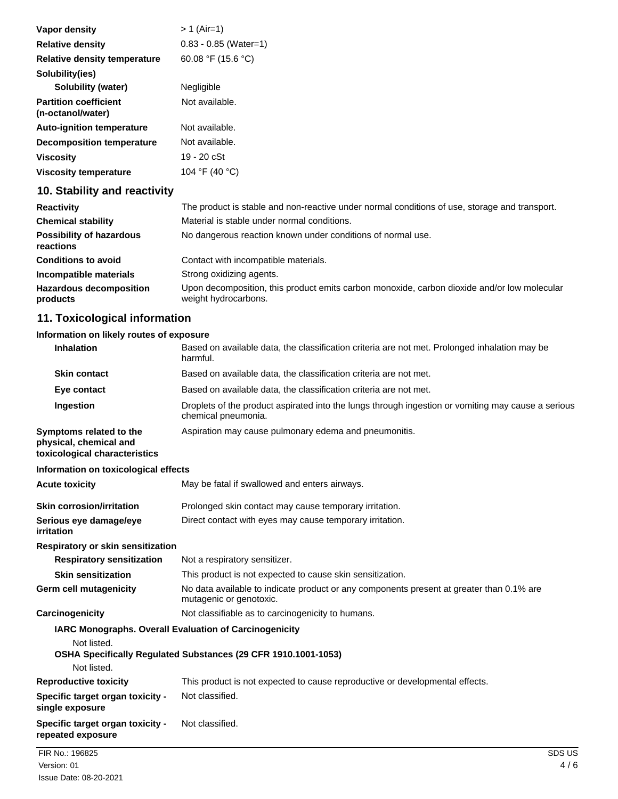| Vapor density                                     | $> 1$ (Air=1)                                                                                 |
|---------------------------------------------------|-----------------------------------------------------------------------------------------------|
| <b>Relative density</b>                           | $0.83 - 0.85$ (Water=1)                                                                       |
| Relative density temperature                      | 60.08 °F (15.6 °C)                                                                            |
| Solubility(ies)                                   |                                                                                               |
| Solubility (water)                                | Negligible                                                                                    |
| <b>Partition coefficient</b><br>(n-octanol/water) | Not available.                                                                                |
| <b>Auto-ignition temperature</b>                  | Not available.                                                                                |
| Decomposition temperature                         | Not available.                                                                                |
| <b>Viscosity</b>                                  | 19 - 20 cSt                                                                                   |
| <b>Viscosity temperature</b>                      | 104 °F (40 °C)                                                                                |
| 10. Stability and reactivity                      |                                                                                               |
| <b>Reactivity</b>                                 | The product is stable and non-reactive under normal conditions of use, storage and transport. |
| <b>Chemical stability</b>                         | Material is stable under normal conditions.                                                   |
| <b>Doccibility of hazardous</b>                   | No deparatous reaction known under conditions of normal use                                   |

| <b>POSSIBILITY OF NAZARDOUS</b><br>reactions | <u>No dangerous reaction known under conditions of normal use.</u>                                                  |
|----------------------------------------------|---------------------------------------------------------------------------------------------------------------------|
| <b>Conditions to avoid</b>                   | Contact with incompatible materials.                                                                                |
| Incompatible materials                       | Strong oxidizing agents.                                                                                            |
| <b>Hazardous decomposition</b><br>products   | Upon decomposition, this product emits carbon monoxide, carbon dioxide and/or low molecular<br>weight hydrocarbons. |

# **11. Toxicological information**

# **Information on likely routes of exposure**

| <b>Inhalation</b>                                                                  | Based on available data, the classification criteria are not met. Prolonged inhalation may be<br>harmful.                 |        |
|------------------------------------------------------------------------------------|---------------------------------------------------------------------------------------------------------------------------|--------|
| <b>Skin contact</b>                                                                | Based on available data, the classification criteria are not met.                                                         |        |
| Eye contact                                                                        | Based on available data, the classification criteria are not met.                                                         |        |
| Ingestion                                                                          | Droplets of the product aspirated into the lungs through ingestion or vomiting may cause a serious<br>chemical pneumonia. |        |
| Symptoms related to the<br>physical, chemical and<br>toxicological characteristics | Aspiration may cause pulmonary edema and pneumonitis.                                                                     |        |
| Information on toxicological effects                                               |                                                                                                                           |        |
| <b>Acute toxicity</b>                                                              | May be fatal if swallowed and enters airways.                                                                             |        |
| <b>Skin corrosion/irritation</b>                                                   | Prolonged skin contact may cause temporary irritation.                                                                    |        |
| Serious eye damage/eye<br>irritation                                               | Direct contact with eyes may cause temporary irritation.                                                                  |        |
| Respiratory or skin sensitization                                                  |                                                                                                                           |        |
| <b>Respiratory sensitization</b>                                                   | Not a respiratory sensitizer.                                                                                             |        |
| <b>Skin sensitization</b>                                                          | This product is not expected to cause skin sensitization.                                                                 |        |
| <b>Germ cell mutagenicity</b>                                                      | No data available to indicate product or any components present at greater than 0.1% are<br>mutagenic or genotoxic.       |        |
| Carcinogenicity                                                                    | Not classifiable as to carcinogenicity to humans.                                                                         |        |
| Not listed.                                                                        | IARC Monographs. Overall Evaluation of Carcinogenicity<br>OSHA Specifically Regulated Substances (29 CFR 1910.1001-1053)  |        |
| Not listed.                                                                        |                                                                                                                           |        |
| <b>Reproductive toxicity</b>                                                       | This product is not expected to cause reproductive or developmental effects.                                              |        |
| Specific target organ toxicity -<br>single exposure                                | Not classified.                                                                                                           |        |
| Specific target organ toxicity -<br>repeated exposure                              | Not classified.                                                                                                           |        |
| FIR No.: 196825                                                                    |                                                                                                                           | SDS US |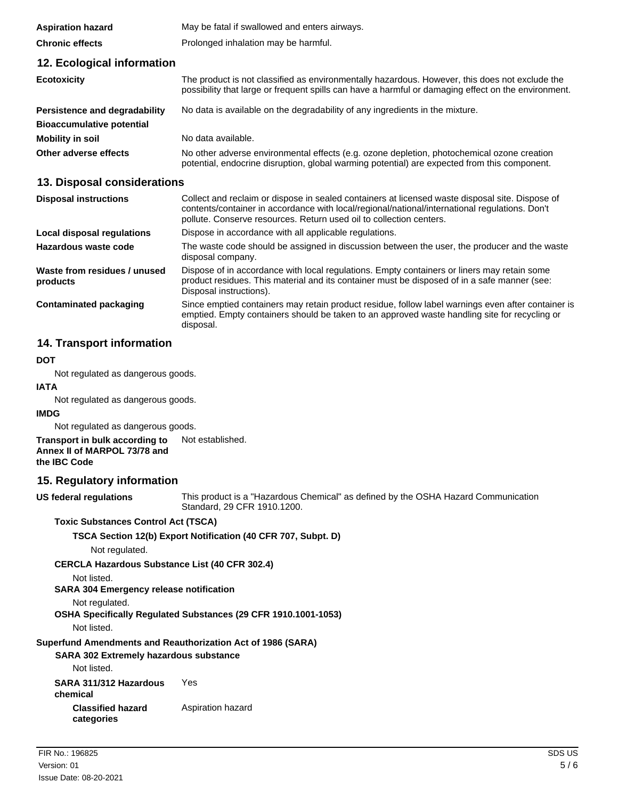| <b>Aspiration hazard</b>                 | May be fatal if swallowed and enters airways.                                                                                                                                                                                                                            |
|------------------------------------------|--------------------------------------------------------------------------------------------------------------------------------------------------------------------------------------------------------------------------------------------------------------------------|
| <b>Chronic effects</b>                   | Prolonged inhalation may be harmful.                                                                                                                                                                                                                                     |
| 12. Ecological information               |                                                                                                                                                                                                                                                                          |
| <b>Ecotoxicity</b>                       | The product is not classified as environmentally hazardous. However, this does not exclude the<br>possibility that large or frequent spills can have a harmful or damaging effect on the environment.                                                                    |
| <b>Persistence and degradability</b>     | No data is available on the degradability of any ingredients in the mixture.                                                                                                                                                                                             |
| <b>Bioaccumulative potential</b>         |                                                                                                                                                                                                                                                                          |
| <b>Mobility in soil</b>                  | No data available.                                                                                                                                                                                                                                                       |
| Other adverse effects                    | No other adverse environmental effects (e.g. ozone depletion, photochemical ozone creation<br>potential, endocrine disruption, global warming potential) are expected from this component.                                                                               |
| 13. Disposal considerations              |                                                                                                                                                                                                                                                                          |
| <b>Disposal instructions</b>             | Collect and reclaim or dispose in sealed containers at licensed waste disposal site. Dispose of<br>contents/container in accordance with local/regional/national/international regulations. Don't<br>pollute. Conserve resources. Return used oil to collection centers. |
| <b>Local disposal regulations</b>        | Dispose in accordance with all applicable regulations.                                                                                                                                                                                                                   |
| Hazardous waste code                     | The waste code should be assigned in discussion between the user, the producer and the waste<br>disposal company.                                                                                                                                                        |
| Waste from residues / unused<br>products | Dispose of in accordance with local regulations. Empty containers or liners may retain some<br>product residues. This material and its container must be disposed of in a safe manner (see:                                                                              |

Since emptied containers may retain product residue, follow label warnings even after container is emptied. Empty containers should be taken to an approved waste handling site for recycling or **Contaminated packaging**

# **14. Transport information**

#### **DOT**

Not regulated as dangerous goods.

#### **IATA**

Not regulated as dangerous goods.

#### **IMDG**

Not regulated as dangerous goods.

**Transport in bulk according to** Not established. **Annex II of MARPOL 73/78 and the IBC Code**

### **15. Regulatory information**

**US federal regulations**

This product is a "Hazardous Chemical" as defined by the OSHA Hazard Communication Standard, 29 CFR 1910.1200.

### **Toxic Substances Control Act (TSCA)**

**TSCA Section 12(b) Export Notification (40 CFR 707, Subpt. D)**

Disposal instructions).

disposal.

Not regulated.

**CERCLA Hazardous Substance List (40 CFR 302.4)**

Not listed.

**SARA 304 Emergency release notification**

Not regulated.

**OSHA Specifically Regulated Substances (29 CFR 1910.1001-1053)**

Not listed.

**Superfund Amendments and Reauthorization Act of 1986 (SARA)**

### **SARA 302 Extremely hazardous substance**

Not listed.

**SARA 311/312 Hazardous** Yes **chemical Classified hazard** Aspiration hazard **categories**